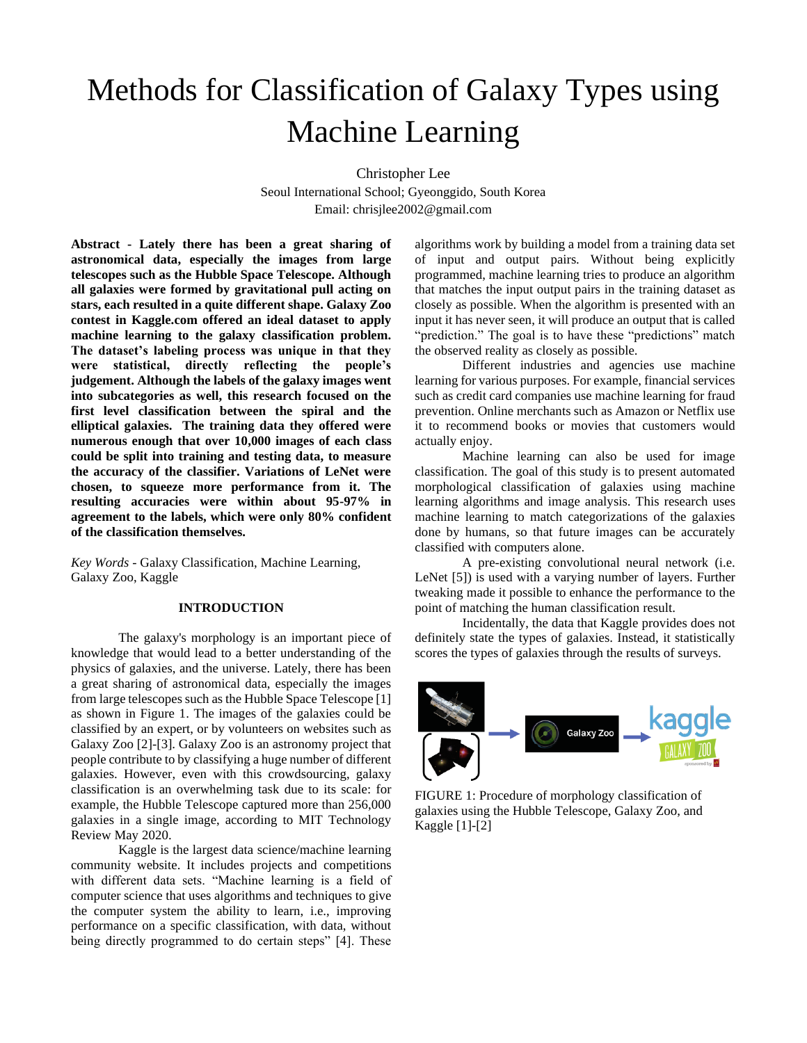# Methods for Classification of Galaxy Types using Machine Learning

Christopher Lee

Seoul International School; Gyeonggido, South Korea Email: chrisjlee2002@gmail.com

**Abstract - Lately there has been a great sharing of astronomical data, especially the images from large telescopes such as the Hubble Space Telescope. Although all galaxies were formed by gravitational pull acting on stars, each resulted in a quite different shape. Galaxy Zoo contest in Kaggle.com offered an ideal dataset to apply machine learning to the galaxy classification problem. The dataset's labeling process was unique in that they were statistical, directly reflecting the people's judgement. Although the labels of the galaxy images went into subcategories as well, this research focused on the first level classification between the spiral and the elliptical galaxies. The training data they offered were numerous enough that over 10,000 images of each class could be split into training and testing data, to measure the accuracy of the classifier. Variations of LeNet were chosen, to squeeze more performance from it. The resulting accuracies were within about 95-97% in agreement to the labels, which were only 80% confident of the classification themselves.**

*Key Words -* Galaxy Classification, Machine Learning, Galaxy Zoo, Kaggle

## **INTRODUCTION**

The galaxy's morphology is an important piece of knowledge that would lead to a better understanding of the physics of galaxies, and the universe. Lately, there has been a great sharing of astronomical data, especially the images from large telescopes such as the Hubble Space Telescope [1] as shown in Figure 1. The images of the galaxies could be classified by an expert, or by volunteers on websites such as Galaxy Zoo [2]-[3]. Galaxy Zoo is an astronomy project that people contribute to by classifying a huge number of different galaxies. However, even with this crowdsourcing, galaxy classification is an overwhelming task due to its scale: for example, the Hubble Telescope captured more than 256,000 galaxies in a single image, according to MIT Technology Review May 2020.

Kaggle is the largest data science/machine learning community website. It includes projects and competitions with different data sets. "Machine learning is a field of computer science that uses algorithms and techniques to give the computer system the ability to learn, i.e., improving performance on a specific classification, with data, without being directly programmed to do certain steps" [4]. These

algorithms work by building a model from a training data set of input and output pairs. Without being explicitly programmed, machine learning tries to produce an algorithm that matches the input output pairs in the training dataset as closely as possible. When the algorithm is presented with an input it has never seen, it will produce an output that is called "prediction." The goal is to have these "predictions" match the observed reality as closely as possible.

Different industries and agencies use machine learning for various purposes. For example, financial services such as credit card companies use machine learning for fraud prevention. Online merchants such as Amazon or Netflix use it to recommend books or movies that customers would actually enjoy.

Machine learning can also be used for image classification. The goal of this study is to present automated morphological classification of galaxies using machine learning algorithms and image analysis. This research uses machine learning to match categorizations of the galaxies done by humans, so that future images can be accurately classified with computers alone.

A pre-existing convolutional neural network (i.e. LeNet [5]) is used with a varying number of layers. Further tweaking made it possible to enhance the performance to the point of matching the human classification result.

Incidentally, the data that Kaggle provides does not definitely state the types of galaxies. Instead, it statistically scores the types of galaxies through the results of surveys.



FIGURE 1: Procedure of morphology classification of galaxies using the Hubble Telescope, Galaxy Zoo, and Kaggle [1]-[2]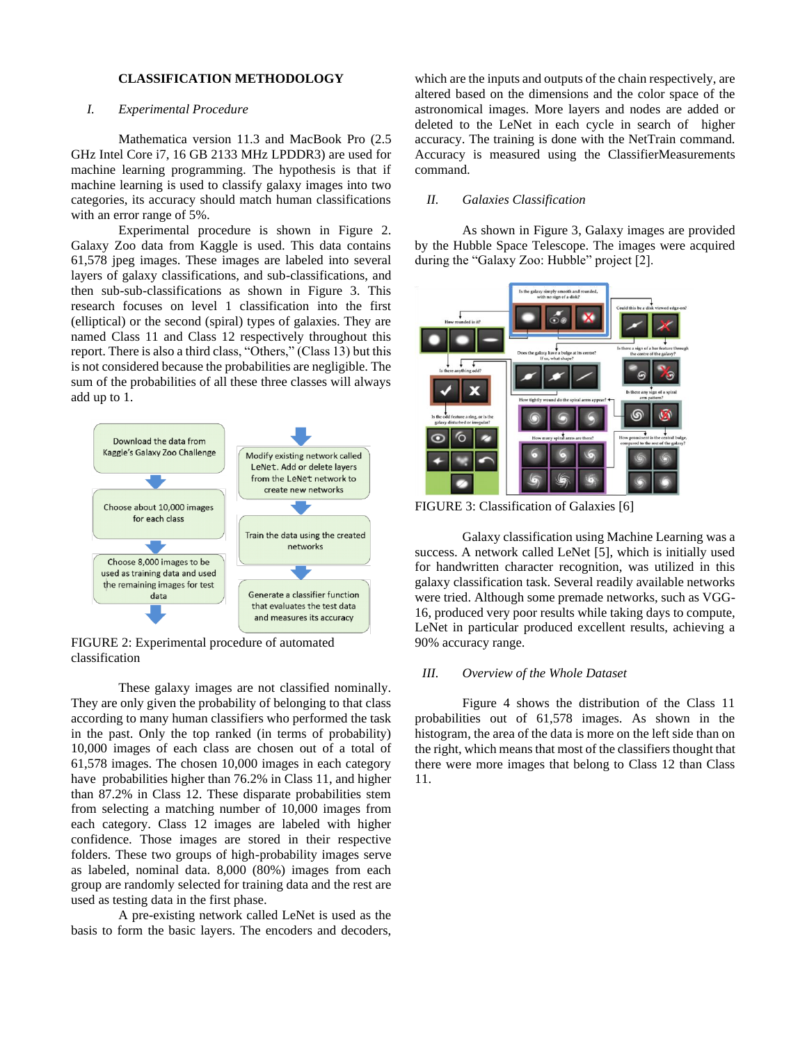#### **CLASSIFICATION METHODOLOGY**

# *I. Experimental Procedure*

Mathematica version 11.3 and MacBook Pro (2.5 GHz Intel Core i7, 16 GB 2133 MHz LPDDR3) are used for machine learning programming. The hypothesis is that if machine learning is used to classify galaxy images into two categories, its accuracy should match human classifications with an error range of 5%.

Experimental procedure is shown in Figure 2. Galaxy Zoo data from Kaggle is used. This data contains 61,578 jpeg images. These images are labeled into several layers of galaxy classifications, and sub-classifications, and then sub-sub-classifications as shown in Figure 3. This research focuses on level 1 classification into the first (elliptical) or the second (spiral) types of galaxies. They are named Class 11 and Class 12 respectively throughout this report. There is also a third class, "Others," (Class 13) but this is not considered because the probabilities are negligible. The sum of the probabilities of all these three classes will always add up to 1.



FIGURE 2: Experimental procedure of automated classification

These galaxy images are not classified nominally. They are only given the probability of belonging to that class according to many human classifiers who performed the task in the past. Only the top ranked (in terms of probability) 10,000 images of each class are chosen out of a total of 61,578 images. The chosen 10,000 images in each category have probabilities higher than 76.2% in Class 11, and higher than 87.2% in Class 12. These disparate probabilities stem from selecting a matching number of 10,000 images from each category. Class 12 images are labeled with higher confidence. Those images are stored in their respective folders. These two groups of high-probability images serve as labeled, nominal data. 8,000 (80%) images from each group are randomly selected for training data and the rest are used as testing data in the first phase.

A pre-existing network called LeNet is used as the basis to form the basic layers. The encoders and decoders,

which are the inputs and outputs of the chain respectively, are altered based on the dimensions and the color space of the astronomical images. More layers and nodes are added or deleted to the LeNet in each cycle in search of higher accuracy. The training is done with the NetTrain command. Accuracy is measured using the ClassifierMeasurements command.

# *II. Galaxies Classification*

As shown in Figure 3, Galaxy images are provided by the Hubble Space Telescope. The images were acquired during the "Galaxy Zoo: Hubble" project [2].



FIGURE 3: Classification of Galaxies [6]

Galaxy classification using Machine Learning was a success. A network called LeNet [5], which is initially used for handwritten character recognition, was utilized in this galaxy classification task. Several readily available networks were tried. Although some premade networks, such as VGG-16, produced very poor results while taking days to compute, LeNet in particular produced excellent results, achieving a 90% accuracy range.

#### *III. Overview of the Whole Dataset*

Figure 4 shows the distribution of the Class 11 probabilities out of 61,578 images. As shown in the histogram, the area of the data is more on the left side than on the right, which means that most of the classifiers thought that there were more images that belong to Class 12 than Class 11.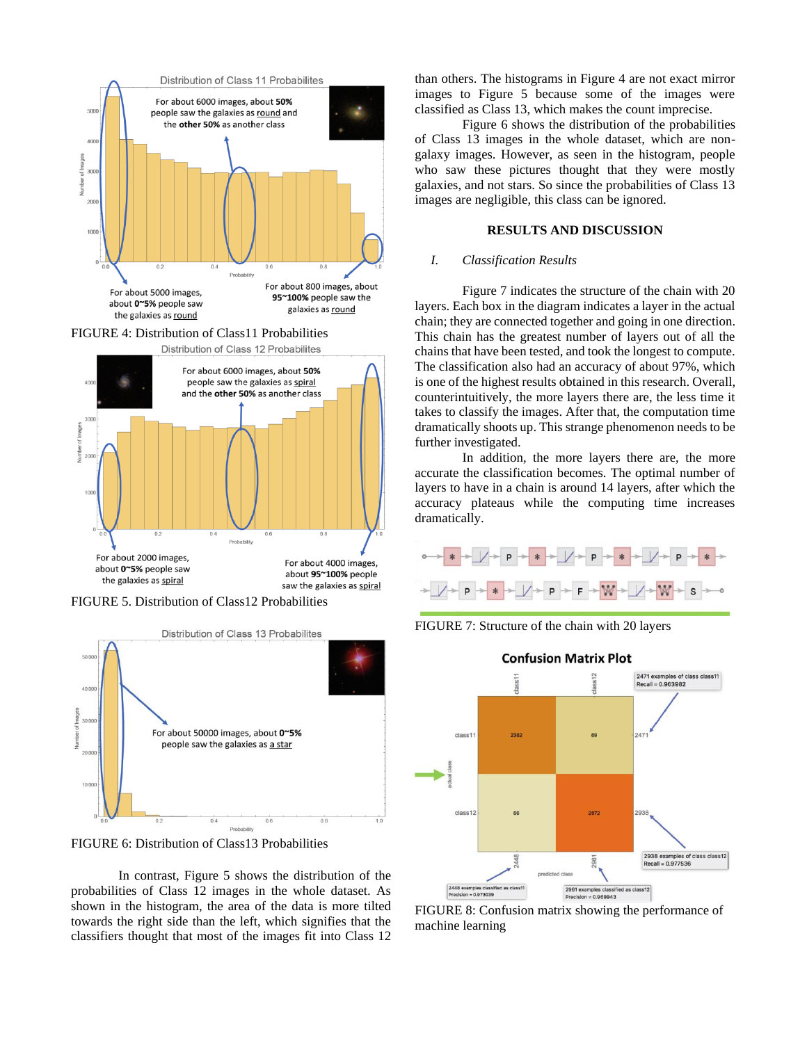

FIGURE 5. Distribution of Class12 Probabilities



FIGURE 6: Distribution of Class13 Probabilities

In contrast, Figure 5 shows the distribution of the probabilities of Class 12 images in the whole dataset. As shown in the histogram, the area of the data is more tilted towards the right side than the left, which signifies that the classifiers thought that most of the images fit into Class 12

than others. The histograms in Figure 4 are not exact mirror images to Figure 5 because some of the images were classified as Class 13, which makes the count imprecise.

Figure 6 shows the distribution of the probabilities of Class 13 images in the whole dataset, which are nongalaxy images. However, as seen in the histogram, people who saw these pictures thought that they were mostly galaxies, and not stars. So since the probabilities of Class 13 images are negligible, this class can be ignored.

# **RESULTS AND DISCUSSION**

## *I. Classification Results*

Figure 7 indicates the structure of the chain with 20 layers. Each box in the diagram indicates a layer in the actual chain; they are connected together and going in one direction. This chain has the greatest number of layers out of all the chains that have been tested, and took the longest to compute. The classification also had an accuracy of about 97%, which is one of the highest results obtained in this research. Overall, counterintuitively, the more layers there are, the less time it takes to classify the images. After that, the computation time dramatically shoots up. This strange phenomenon needs to be further investigated.

In addition, the more layers there are, the more accurate the classification becomes. The optimal number of layers to have in a chain is around 14 layers, after which the accuracy plateaus while the computing time increases dramatically.



FIGURE 7: Structure of the chain with 20 layers



FIGURE 8: Confusion matrix showing the performance of machine learning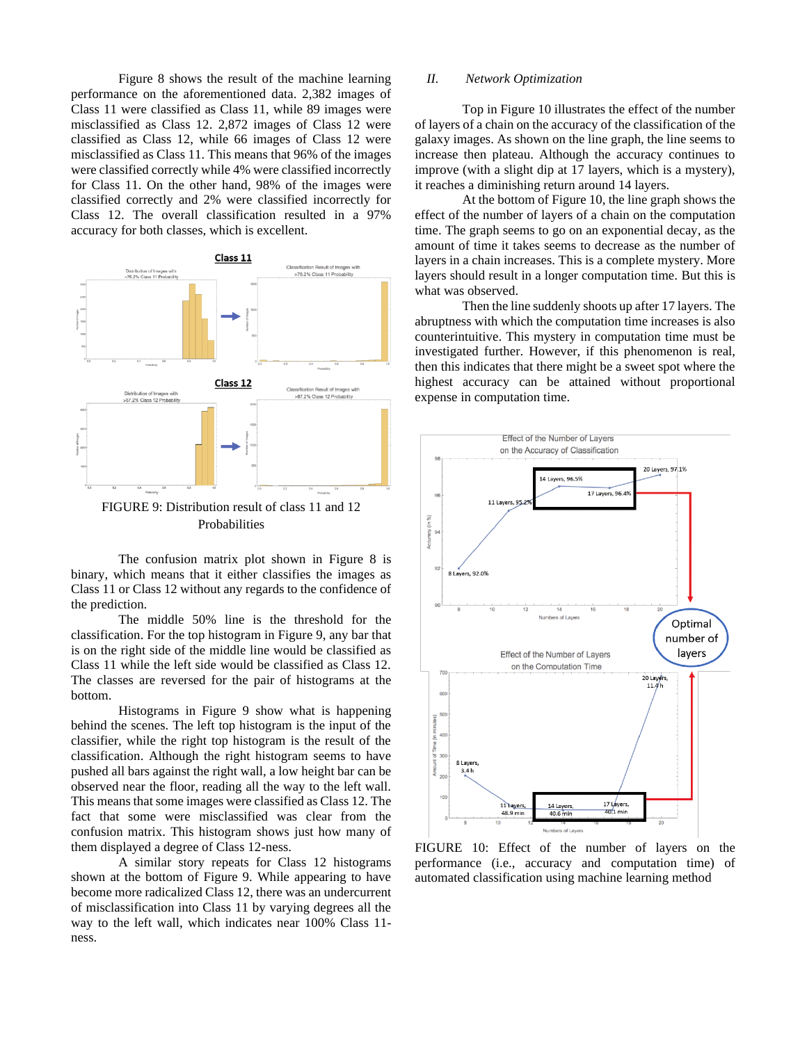Figure 8 shows the result of the machine learning performance on the aforementioned data. 2,382 images of Class 11 were classified as Class 11, while 89 images were misclassified as Class 12. 2,872 images of Class 12 were classified as Class 12, while 66 images of Class 12 were misclassified as Class 11. This means that 96% of the images were classified correctly while 4% were classified incorrectly for Class 11. On the other hand, 98% of the images were classified correctly and 2% were classified incorrectly for Class 12. The overall classification resulted in a 97% accuracy for both classes, which is excellent.



FIGURE 9: Distribution result of class 11 and 12 Probabilities

The confusion matrix plot shown in Figure 8 is binary, which means that it either classifies the images as Class 11 or Class 12 without any regards to the confidence of the prediction.

The middle 50% line is the threshold for the classification. For the top histogram in Figure 9, any bar that is on the right side of the middle line would be classified as Class 11 while the left side would be classified as Class 12. The classes are reversed for the pair of histograms at the bottom.

Histograms in Figure 9 show what is happening behind the scenes. The left top histogram is the input of the classifier, while the right top histogram is the result of the classification. Although the right histogram seems to have pushed all bars against the right wall, a low height bar can be observed near the floor, reading all the way to the left wall. This means that some images were classified as Class 12. The fact that some were misclassified was clear from the confusion matrix. This histogram shows just how many of them displayed a degree of Class 12-ness.

A similar story repeats for Class 12 histograms shown at the bottom of Figure 9. While appearing to have become more radicalized Class 12, there was an undercurrent of misclassification into Class 11 by varying degrees all the way to the left wall, which indicates near 100% Class 11 ness.

#### *II. Network Optimization*

Top in Figure 10 illustrates the effect of the number of layers of a chain on the accuracy of the classification of the galaxy images. As shown on the line graph, the line seems to increase then plateau. Although the accuracy continues to improve (with a slight dip at 17 layers, which is a mystery), it reaches a diminishing return around 14 layers.

At the bottom of Figure 10, the line graph shows the effect of the number of layers of a chain on the computation time. The graph seems to go on an exponential decay, as the amount of time it takes seems to decrease as the number of layers in a chain increases. This is a complete mystery. More layers should result in a longer computation time. But this is what was observed.

Then the line suddenly shoots up after 17 layers. The abruptness with which the computation time increases is also counterintuitive. This mystery in computation time must be investigated further. However, if this phenomenon is real, then this indicates that there might be a sweet spot where the highest accuracy can be attained without proportional expense in computation time.



FIGURE 10: Effect of the number of layers on the performance (i.e., accuracy and computation time) of automated classification using machine learning method